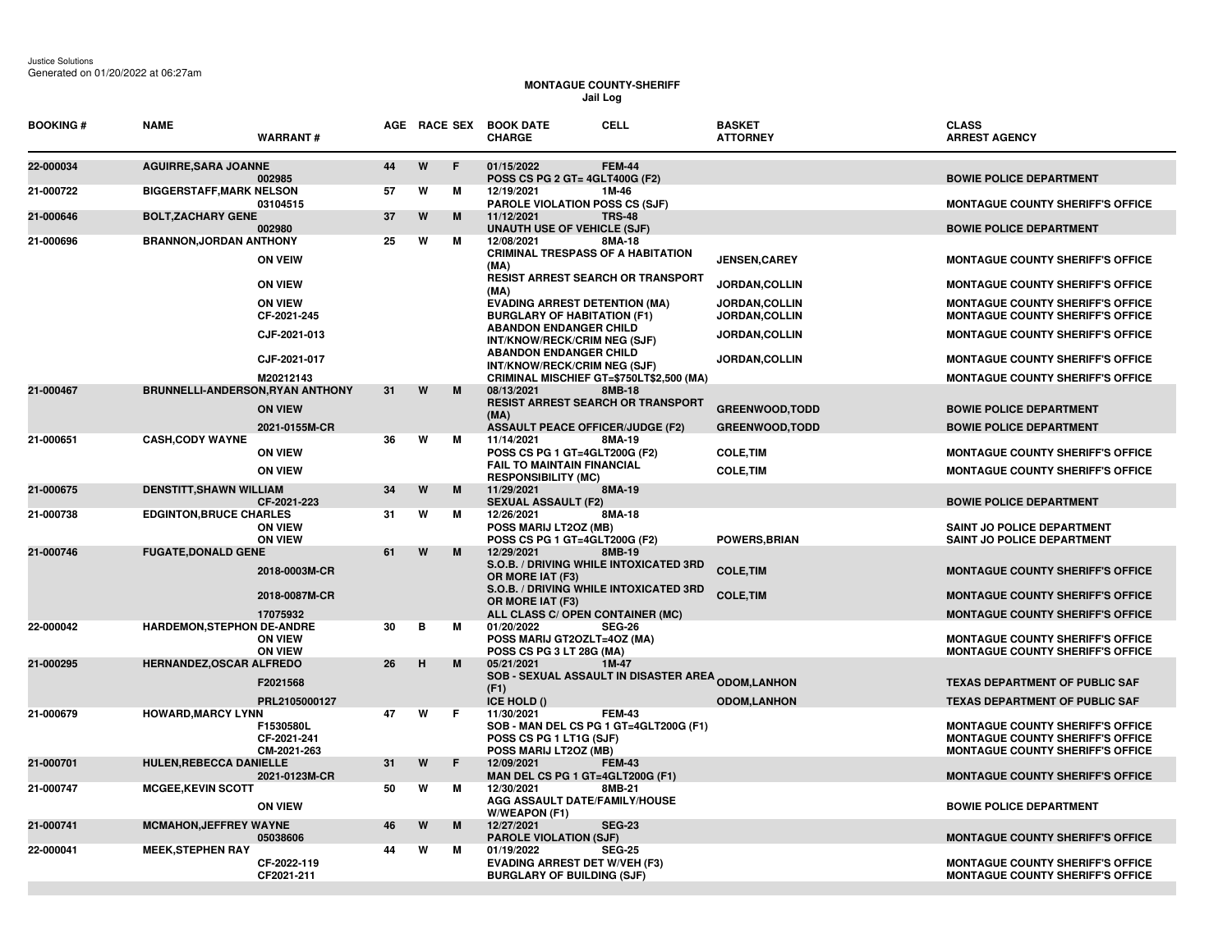## **MONTAGUE COUNTY-SHERIFF Jail Log**

| <b>BOOKING#</b> | <b>NAME</b>                             | <b>WARRANT#</b>                         |    |   | AGE RACE SEX | <b>BOOK DATE</b><br><b>CELL</b><br><b>CHARGE</b>                                                          |               | <b>BASKET</b><br><b>ATTORNEY</b>       | <b>CLASS</b><br><b>ARREST AGENCY</b>                                                                                   |
|-----------------|-----------------------------------------|-----------------------------------------|----|---|--------------|-----------------------------------------------------------------------------------------------------------|---------------|----------------------------------------|------------------------------------------------------------------------------------------------------------------------|
| 22-000034       | <b>AGUIRRE, SARA JOANNE</b>             | 002985                                  | 44 | W | E            | 01/15/2022<br>POSS CS PG 2 GT= 4GLT400G (F2)                                                              | <b>FEM-44</b> |                                        | <b>BOWIE POLICE DEPARTMENT</b>                                                                                         |
| 21-000722       | <b>BIGGERSTAFF, MARK NELSON</b>         | 03104515                                | 57 | W | М            | 12/19/2021<br>1M-46<br><b>PAROLE VIOLATION POSS CS (SJF)</b>                                              |               |                                        | <b>MONTAGUE COUNTY SHERIFF'S OFFICE</b>                                                                                |
| 21-000646       | <b>BOLT, ZACHARY GENE</b>               | 002980                                  | 37 | W | M            | 11/12/2021<br><b>TRS-48</b><br><b>UNAUTH USE OF VEHICLE (SJF)</b>                                         |               |                                        | <b>BOWIE POLICE DEPARTMENT</b>                                                                                         |
| 21-000696       | <b>BRANNON, JORDAN ANTHONY</b>          | <b>ON VEIW</b>                          | 25 | W | M            | 12/08/2021<br><b>CRIMINAL TRESPASS OF A HABITATION</b><br>(MA)                                            | 8MA-18        | <b>JENSEN, CAREY</b>                   | <b>MONTAGUE COUNTY SHERIFF'S OFFICE</b>                                                                                |
|                 |                                         | <b>ON VIEW</b>                          |    |   |              | <b>RESIST ARREST SEARCH OR TRANSPORT</b><br>(MA)                                                          |               | JORDAN, COLLIN                         | <b>MONTAGUE COUNTY SHERIFF'S OFFICE</b>                                                                                |
|                 |                                         | <b>ON VIEW</b><br>CF-2021-245           |    |   |              | <b>EVADING ARREST DETENTION (MA)</b><br><b>BURGLARY OF HABITATION (F1)</b>                                |               | JORDAN, COLLIN<br><b>JORDAN,COLLIN</b> | <b>MONTAGUE COUNTY SHERIFF'S OFFICE</b><br><b>MONTAGUE COUNTY SHERIFF'S OFFICE</b>                                     |
|                 |                                         | CJF-2021-013                            |    |   |              | <b>ABANDON ENDANGER CHILD</b><br>INT/KNOW/RECK/CRIM NEG (SJF)                                             |               | <b>JORDAN,COLLIN</b>                   | <b>MONTAGUE COUNTY SHERIFF'S OFFICE</b>                                                                                |
|                 |                                         | CJF-2021-017<br>M20212143               |    |   |              | <b>ABANDON ENDANGER CHILD</b><br>INT/KNOW/RECK/CRIM NEG (SJF)<br>CRIMINAL MISCHIEF GT=\$750LT\$2,500 (MA) |               | JORDAN, COLLIN                         | <b>MONTAGUE COUNTY SHERIFF'S OFFICE</b><br><b>MONTAGUE COUNTY SHERIFF'S OFFICE</b>                                     |
| 21-000467       | <b>BRUNNELLI-ANDERSON, RYAN ANTHONY</b> |                                         | 31 | W | M            | 08/13/2021<br>8MB-18                                                                                      |               |                                        |                                                                                                                        |
|                 |                                         | <b>ON VIEW</b>                          |    |   |              | RESIST ARREST SEARCH OR TRANSPORT<br>(MA)                                                                 |               | <b>GREENWOOD.TODD</b>                  | <b>BOWIE POLICE DEPARTMENT</b>                                                                                         |
| 21-000651       | <b>CASH, CODY WAYNE</b>                 | 2021-0155M-CR                           | 36 | W | м            | <b>ASSAULT PEACE OFFICER/JUDGE (F2)</b><br>11/14/2021<br>8MA-19                                           |               | <b>GREENWOOD.TODD</b>                  | <b>BOWIE POLICE DEPARTMENT</b>                                                                                         |
|                 |                                         | <b>ON VIEW</b>                          |    |   |              | POSS CS PG 1 GT=4GLT200G (F2)                                                                             |               | <b>COLE, TIM</b>                       | <b>MONTAGUE COUNTY SHERIFF'S OFFICE</b>                                                                                |
|                 |                                         | <b>ON VIEW</b>                          |    |   |              | <b>FAIL TO MAINTAIN FINANCIAL</b><br><b>RESPONSIBILITY (MC)</b>                                           |               | <b>COLE, TIM</b>                       | <b>MONTAGUE COUNTY SHERIFF'S OFFICE</b>                                                                                |
| 21-000675       | <b>DENSTITT, SHAWN WILLIAM</b>          | CF-2021-223                             | 34 | W | M            | 11/29/2021<br>8MA-19<br><b>SEXUAL ASSAULT (F2)</b>                                                        |               |                                        | <b>BOWIE POLICE DEPARTMENT</b>                                                                                         |
| 21-000738       | <b>EDGINTON, BRUCE CHARLES</b>          | <b>ON VIEW</b><br><b>ON VIEW</b>        | 31 | W | м            | 12/26/2021<br>POSS MARIJ LT20Z (MB)<br>POSS CS PG 1 GT=4GLT200G (F2)                                      | 8MA-18        | <b>POWERS, BRIAN</b>                   | <b>SAINT JO POLICE DEPARTMENT</b><br>SAINT JO POLICE DEPARTMENT                                                        |
| 21-000746       | <b>FUGATE, DONALD GENE</b>              |                                         | 61 | W | M            | 12/29/2021<br>8MB-19                                                                                      |               |                                        |                                                                                                                        |
|                 |                                         | 2018-0003M-CR                           |    |   |              | S.O.B. / DRIVING WHILE INTOXICATED 3RD<br>OR MORE IAT (F3)<br>S.O.B. / DRIVING WHILE INTOXICATED 3RD      |               | <b>COLE, TIM</b>                       | <b>MONTAGUE COUNTY SHERIFF'S OFFICE</b>                                                                                |
|                 |                                         | 2018-0087M-CR<br>17075932               |    |   |              | OR MORE IAT (F3)<br>ALL CLASS C/ OPEN CONTAINER (MC)                                                      |               | <b>COLE, TIM</b>                       | <b>MONTAGUE COUNTY SHERIFF'S OFFICE</b><br><b>MONTAGUE COUNTY SHERIFF'S OFFICE</b>                                     |
| 22-000042       | <b>HARDEMON, STEPHON DE-ANDRE</b>       |                                         | 30 | в | м            | 01/20/2022<br><b>SEG-26</b>                                                                               |               |                                        |                                                                                                                        |
|                 |                                         | <b>ON VIEW</b><br><b>ON VIEW</b>        |    |   |              | POSS MARIJ GT2OZLT=4OZ (MA)<br>POSS CS PG 3 LT 28G (MA)                                                   |               |                                        | <b>MONTAGUE COUNTY SHERIFF'S OFFICE</b><br><b>MONTAGUE COUNTY SHERIFF'S OFFICE</b>                                     |
| 21-000295       | <b>HERNANDEZ, OSCAR ALFREDO</b>         | F2021568                                | 26 | H | M            | 05/21/2021<br>1M-47<br><b>SOB - SEXUAL ASSAULT IN DISASTER AREA <sub>ODOM,</sub>LANHON</b>                |               |                                        | <b>TEXAS DEPARTMENT OF PUBLIC SAF</b>                                                                                  |
|                 |                                         | PRL2105000127                           |    |   |              | (F1)<br>ICE HOLD ()                                                                                       |               | <b>ODOM,LANHON</b>                     | <b>TEXAS DEPARTMENT OF PUBLIC SAF</b>                                                                                  |
| 21-000679       | <b>HOWARD, MARCY LYNN</b>               | F1530580L<br>CF-2021-241<br>CM-2021-263 | 47 | W | F.           | 11/30/2021<br>SOB - MAN DEL CS PG 1 GT=4GLT200G (F1)<br>POSS CS PG 1 LT1G (SJF)<br>POSS MARIJ LT2OZ (MB)  | <b>FEM-43</b> |                                        | <b>MONTAGUE COUNTY SHERIFF'S OFFICE</b><br><b>MONTAGUE COUNTY SHERIFF'S OFFICE</b><br>MONTAGUE COUNTY SHERIFF'S OFFICE |
| 21-000701       | <b>HULEN, REBECCA DANIELLE</b>          | 2021-0123M-CR                           | 31 | W | F            | 12/09/2021<br><b>FEM-43</b><br>MAN DEL CS PG 1 GT=4GLT200G (F1)                                           |               |                                        | <b>MONTAGUE COUNTY SHERIFF'S OFFICE</b>                                                                                |
| 21-000747       | <b>MCGEE, KEVIN SCOTT</b>               | <b>ON VIEW</b>                          | 50 | W | м            | 12/30/2021<br>8MB-21<br>AGG ASSAULT DATE/FAMILY/HOUSE<br>W/WEAPON (F1)                                    |               |                                        | <b>BOWIE POLICE DEPARTMENT</b>                                                                                         |
| 21-000741       | <b>MCMAHON, JEFFREY WAYNE</b>           | 05038606                                | 46 | W | M            | <b>SEG-23</b><br>12/27/2021<br><b>PAROLE VIOLATION (SJF)</b>                                              |               |                                        | <b>MONTAGUE COUNTY SHERIFF'S OFFICE</b>                                                                                |
| 22-000041       | <b>MEEK, STEPHEN RAY</b>                | CF-2022-119<br>CF2021-211               | 44 | W | м            | 01/19/2022<br><b>SEG-25</b><br><b>EVADING ARREST DET W/VEH (F3)</b><br><b>BURGLARY OF BUILDING (SJF)</b>  |               |                                        | <b>MONTAGUE COUNTY SHERIFF'S OFFICE</b><br><b>MONTAGUE COUNTY SHERIFF'S OFFICE</b>                                     |
|                 |                                         |                                         |    |   |              |                                                                                                           |               |                                        |                                                                                                                        |